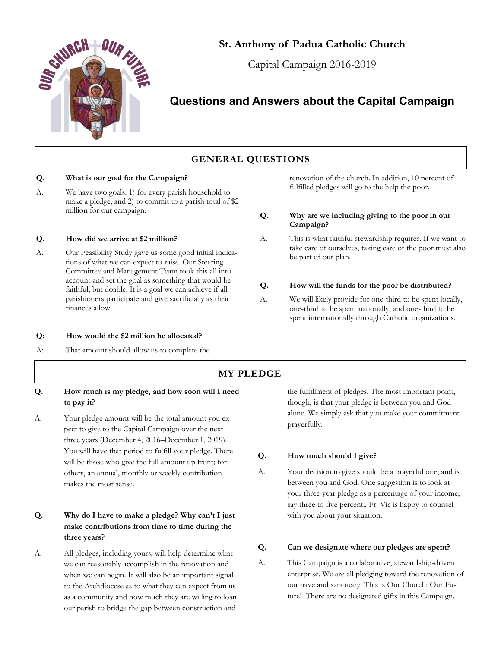

# **St. Anthony of Padua Catholic Church**

Capital Campaign 2016-2019

# **Questions and Answers about the Capital Campaign**

# **GENERAL QUESTIONS**

### **Q. What is our goal for the Campaign?**

A. We have two goals: 1) for every parish household to make a pledge, and 2) to commit to a parish total of \$2 million for our campaign.

### **Q. How did we arrive at \$2 million?**

A. Our Feasibility Study gave us some good initial indications of what we can expect to raise. Our Steering Committee and Management Team took this all into account and set the goal as something that would be faithful, but doable. It is a goal we can achieve if all parishioners participate and give sacrificially as their finances allow.

#### **Q: How would the \$2 million be allocated?**

A: That amount should allow us to complete the

#### renovation of the church. In addition, 10 percent of fulfilled pledges will go to the help the poor.

### **Q. Why are we including giving to the poor in our Campaign?**

### A. This is what faithful stewardship requires. If we want to take care of ourselves, taking care of the poor must also be part of our plan.

### **Q. How will the funds for the poor be distributed?**

A. We will likely provide for one-third to be spent locally, one-third to be spent nationally, and one-third to be spent internationally through Catholic organizations.

# **MY PLEDGE**

- **Q. How much is my pledge, and how soon will I need to pay it?**
- A. Your pledge amount will be the total amount you expect to give to the Capital Campaign over the next three years (December 4, 2016–December 1, 2019). You will have that period to fulfill your pledge. There will be those who give the full amount up front; for others, an annual, monthly or weekly contribution makes the most sense.

# **Q. Why do I have to make a pledge? Why can't I just make contributions from time to time during the three years?**

A. All pledges, including yours, will help determine what we can reasonably accomplish in the renovation and when we can begin. It will also be an important signal to the Archdiocese as to what they can expect from us as a community and how much they are willing to loan our parish to bridge the gap between construction and

the fulfillment of pledges. The most important point, though, is that your pledge is between you and God alone. We simply ask that you make your commitment prayerfully.

### **Q. How much should I give?**

A. Your decision to give should be a prayerful one, and is between you and God. One suggestion is to look at your three-year pledge as a percentage of your income, say three to five percent.. Fr. Vic is happy to counsel with you about your situation.

### **Q. Can we designate where our pledges are spent?**

A. This Campaign is a collaborative, stewardship-driven enterprise. We are all pledging toward the renovation of our nave and sanctuary. This is Our Church: Our Future! There are no designated gifts in this Campaign.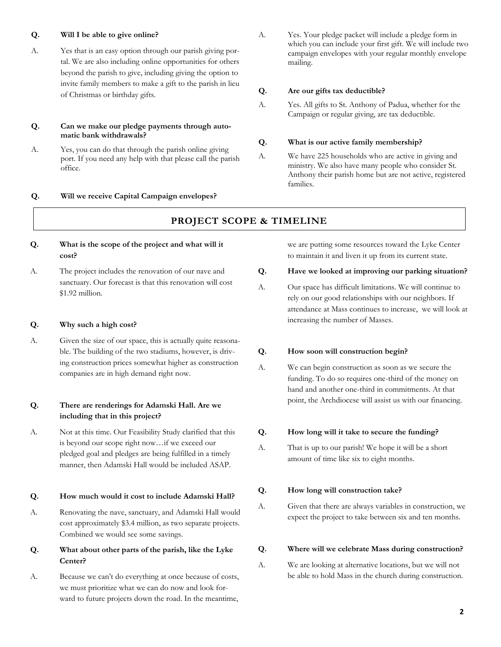### **Q. Will I be able to give online?**

A. Yes that is an easy option through our parish giving portal. We are also including online opportunities for others beyond the parish to give, including giving the option to invite family members to make a gift to the parish in lieu of Christmas or birthday gifts.

### **Q. Can we make our pledge payments through automatic bank withdrawals?**

A. Yes, you can do that through the parish online giving port. If you need any help with that please call the parish office.

#### **Q. Will we receive Capital Campaign envelopes?**

A. Yes. Your pledge packet will include a pledge form in which you can include your first gift. We will include two campaign envelopes with your regular monthly envelope mailing.

#### **Q. Are our gifts tax deductible?**

A. Yes. All gifts to St. Anthony of Padua, whether for the Campaign or regular giving, are tax deductible.

#### **Q. What is our active family membership?**

A. We have 225 households who are active in giving and ministry. We also have many people who consider St. Anthony their parish home but are not active, registered families.

## **PROJECT SCOPE & TIMELINE**

- **Q. What is the scope of the project and what will it cost?**
- A. The project includes the renovation of our nave and sanctuary. Our forecast is that this renovation will cost \$1.92 million.

#### **Q. Why such a high cost?**

A. Given the size of our space, this is actually quite reasonable. The building of the two stadiums, however, is driving construction prices somewhat higher as construction companies are in high demand right now.

### **Q. There are renderings for Adamski Hall. Are we including that in this project?**

A. Not at this time. Our Feasibility Study clarified that this is beyond our scope right now…if we exceed our pledged goal and pledges are being fulfilled in a timely manner, then Adamski Hall would be included ASAP.

#### **Q. How much would it cost to include Adamski Hall?**

A. Renovating the nave, sanctuary, and Adamski Hall would cost approximately \$3.4 million, as two separate projects. Combined we would see some savings.

## **Q. What about other parts of the parish, like the Lyke Center?**

A. Because we can't do everything at once because of costs, we must prioritize what we can do now and look forward to future projects down the road. In the meantime,

we are putting some resources toward the Lyke Center to maintain it and liven it up from its current state.

### **Q. Have we looked at improving our parking situation?**

A. Our space has difficult limitations. We will continue to rely on our good relationships with our neighbors. If attendance at Mass continues to increase, we will look at increasing the number of Masses.

#### **Q. How soon will construction begin?**

A. We can begin construction as soon as we secure the funding. To do so requires one-third of the money on hand and another one-third in commitments. At that point, the Archdiocese will assist us with our financing.

#### **Q. How long will it take to secure the funding?**

A. That is up to our parish! We hope it will be a short amount of time like six to eight months.

#### **Q. How long will construction take?**

A. Given that there are always variables in construction, we expect the project to take between six and ten months.

#### **Q. Where will we celebrate Mass during construction?**

A. We are looking at alternative locations, but we will not be able to hold Mass in the church during construction.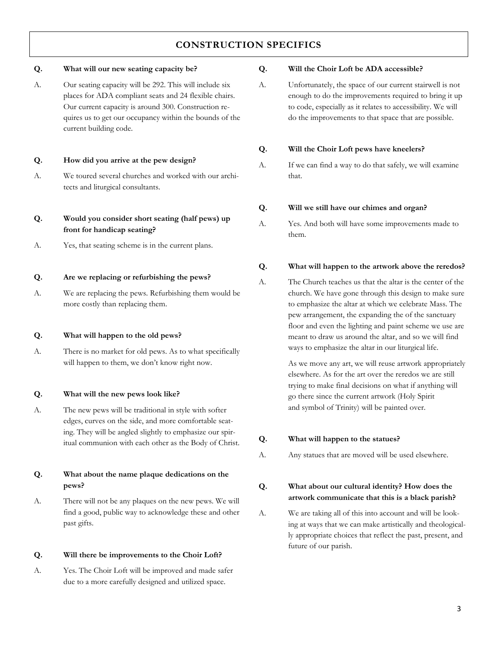# **CONSTRUCTION SPECIFICS**

### **Q. What will our new seating capacity be?**

A. Our seating capacity will be 292. This will include six places for ADA compliant seats and 24 flexible chairs. Our current capacity is around 300. Construction requires us to get our occupancy within the bounds of the current building code.

### **Q. How did you arrive at the pew design?**

A. We toured several churches and worked with our architects and liturgical consultants.

## **Q. Would you consider short seating (half pews) up front for handicap seating?**

A. Yes, that seating scheme is in the current plans.

### **Q. Are we replacing or refurbishing the pews?**

A. We are replacing the pews. Refurbishing them would be more costly than replacing them.

### **Q. What will happen to the old pews?**

A. There is no market for old pews. As to what specifically will happen to them, we don't know right now.

### **Q. What will the new pews look like?**

A. The new pews will be traditional in style with softer edges, curves on the side, and more comfortable seating. They will be angled slightly to emphasize our spiritual communion with each other as the Body of Christ.

# **Q. What about the name plaque dedications on the pews?**

A. There will not be any plaques on the new pews. We will find a good, public way to acknowledge these and other past gifts.

### **Q. Will there be improvements to the Choir Loft?**

A. Yes. The Choir Loft will be improved and made safer due to a more carefully designed and utilized space.

### **Q. Will the Choir Loft be ADA accessible?**

A. Unfortunately, the space of our current stairwell is not enough to do the improvements required to bring it up to code, especially as it relates to accessibility. We will do the improvements to that space that are possible.

## **Q. Will the Choir Loft pews have kneelers?**

A. If we can find a way to do that safely, we will examine that.

### **Q. Will we still have our chimes and organ?**

A. Yes. And both will have some improvements made to them.

### **Q. What will happen to the artwork above the reredos?**

A. The Church teaches us that the altar is the center of the church. We have gone through this design to make sure to emphasize the altar at which we celebrate Mass. The pew arrangement, the expanding the of the sanctuary floor and even the lighting and paint scheme we use are meant to draw us around the altar, and so we will find ways to emphasize the altar in our liturgical life.

> As we move any art, we will reuse artwork appropriately elsewhere. As for the art over the reredos we are still trying to make final decisions on what if anything will go there since the current artwork (Holy Spirit and symbol of Trinity) will be painted over.

## **Q. What will happen to the statues?**

A. Any statues that are moved will be used elsewhere.

# **Q. What about our cultural identity? How does the artwork communicate that this is a black parish?**

A. We are taking all of this into account and will be looking at ways that we can make artistically and theologically appropriate choices that reflect the past, present, and future of our parish.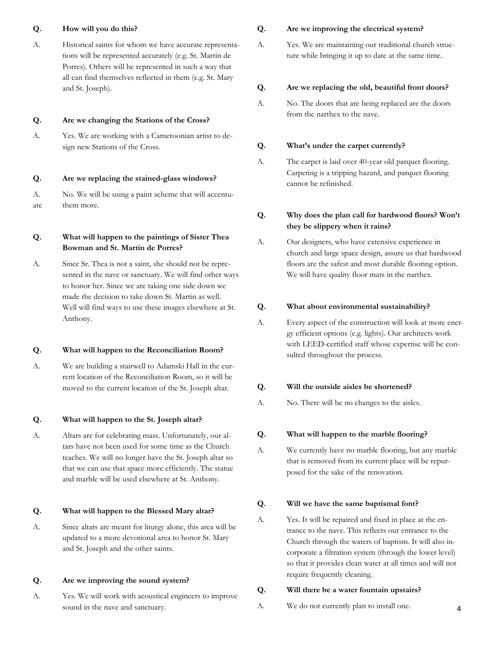### **Q. How will you do this?**

A. Historical saints for whom we have accurate representations will be represented accurately (e.g. St. Martin de Porres). Others will be represented in such a way that all can find themselves reflected in them (e.g. St. Mary and St. Joseph).

### **Q. Are we changing the Stations of the Cross?**

A. Yes. We are working with a Cameroonian artist to design new Stations of the Cross.

### **Q. Are we replacing the stained-glass windows?**

A. No. We will be using a paint scheme that will accentuate them more.

## **Q. What will happen to the paintings of Sister Thea Bowman and St. Martin de Porres?**

A. Since Sr. Thea is not a saint, she should not be represented in the nave or sanctuary. We will find other ways to honor her. Since we are taking one side down we made the decision to take down St. Martin as well. Well will find ways to use these images elsewhere at St. Anthony.

### **Q. What will happen to the Reconciliation Room?**

A. We are building a stairwell to Adamski Hall in the current location of the Reconciliation Room, so it will be moved to the current location of the St. Joseph altar.

### **Q. What will happen to the St. Joseph altar?**

A. Altars are for celebrating mass. Unfortunately, our altars have not been used for some time as the Church teaches. We will no longer have the St. Joseph altar so that we can use that space more efficiently. The statue and marble will be used elsewhere at St. Anthony.

### **Q. What will happen to the Blessed Mary altar?**

A. Since altars are meant for liturgy alone, this area will be updated to a more devotional area to honor St. Mary and St. Joseph and the other saints.

### **Q. Are we improving the sound system?**

A. Yes. We will work with acoustical engineers to improve sound in the nave and sanctuary.

### **Q. Are we improving the electrical system?**

A. Yes. We are maintaining our traditional church structure while bringing it up to date at the same time.

### **Q. Are we replacing the old, beautiful front doors?**

A. No. The doors that are being replaced are the doors from the narthex to the nave.

### **Q. What's under the carpet currently?**

A. The carpet is laid over 40-year old parquet flooring. Carpeting is a tripping hazard, and parquet flooring cannot be refinished.

## **Q. Why does the plan call for hardwood floors? Won't they be slippery when it rains?**

A. Our designers, who have extensive experience in church and large space design, assure us that hardwood floors are the safest and most durable flooring option. We will have quality floor mats in the narthex.

### **Q. What about environmental sustainability?**

A. Every aspect of the construction will look at more energy efficient options (e.g. lights). Our architects work with LEED-certified staff whose expertise will be consulted throughout the process.

### **Q. Will the outside aisles be shortened?**

A. No. There will be no changes to the aisles.

### **Q. What will happen to the marble flooring?**

A. We currently have no marble flooring, but any marble that is removed from its current place will be repurposed for the sake of the renovation.

#### **Q. Will we have the same baptismal font?**

A. Yes. It will be repaired and fixed in place at the entrance to the nave. This reflects our entrance to the Church through the waters of baptism. It will also incorporate a filtration system (through the lower level) so that it provides clean water at all times and will not require frequently cleaning.

### **Q. Will there be a water fountain upstairs?**

A. We do not currently plan to install one.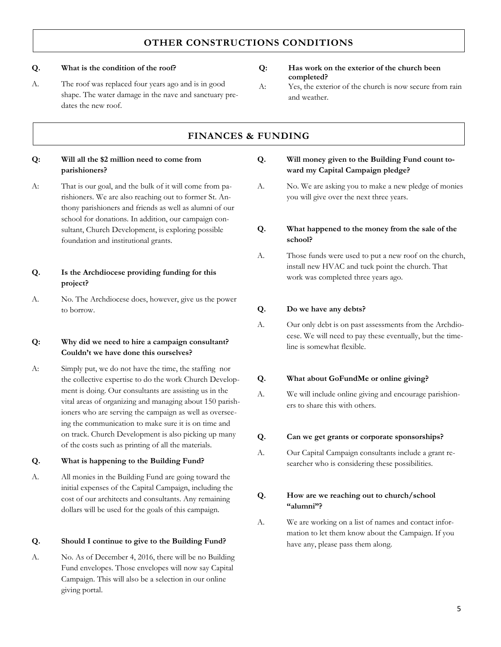# **OTHER CONSTRUCTIONS CONDITIONS**

### **Q. What is the condition of the roof?**

A. The roof was replaced four years ago and is in good shape. The water damage in the nave and sanctuary predates the new roof.

# **Q: Has work on the exterior of the church been completed?**

A: Yes, the exterior of the church is now secure from rain and weather.

# **FINANCES & FUNDING**

### **Q: Will all the \$2 million need to come from parishioners?**

A: That is our goal, and the bulk of it will come from parishioners. We are also reaching out to former St. Anthony parishioners and friends as well as alumni of our school for donations. In addition, our campaign consultant, Church Development, is exploring possible foundation and institutional grants.

## **Q. Is the Archdiocese providing funding for this project?**

A. No. The Archdiocese does, however, give us the power to borrow.

### **Q: Why did we need to hire a campaign consultant? Couldn't we have done this ourselves?**

A: Simply put, we do not have the time, the staffing nor the collective expertise to do the work Church Development is doing. Our consultants are assisting us in the vital areas of organizing and managing about 150 parishioners who are serving the campaign as well as overseeing the communication to make sure it is on time and on track. Church Development is also picking up many of the costs such as printing of all the materials.

### **Q. What is happening to the Building Fund?**

A. All monies in the Building Fund are going toward the initial expenses of the Capital Campaign, including the cost of our architects and consultants. Any remaining dollars will be used for the goals of this campaign.

### **Q. Should I continue to give to the Building Fund?**

A. No. As of December 4, 2016, there will be no Building Fund envelopes. Those envelopes will now say Capital Campaign. This will also be a selection in our online giving portal.

| Q. | Will money given to the Building Fund count to- |
|----|-------------------------------------------------|
|    | ward my Capital Campaign pledge?                |

A. No. We are asking you to make a new pledge of monies you will give over the next three years.

### **Q. What happened to the money from the sale of the school?**

A. Those funds were used to put a new roof on the church, install new HVAC and tuck point the church. That work was completed three years ago.

### **Q. Do we have any debts?**

A. Our only debt is on past assessments from the Archdiocese. We will need to pay these eventually, but the timeline is somewhat flexible.

### **Q. What about GoFundMe or online giving?**

A. We will include online giving and encourage parishioners to share this with others.

### **Q. Can we get grants or corporate sponsorships?**

A. Our Capital Campaign consultants include a grant researcher who is considering these possibilities.

### **Q. How are we reaching out to church/school "alumni"?**

A. We are working on a list of names and contact information to let them know about the Campaign. If you have any, please pass them along.